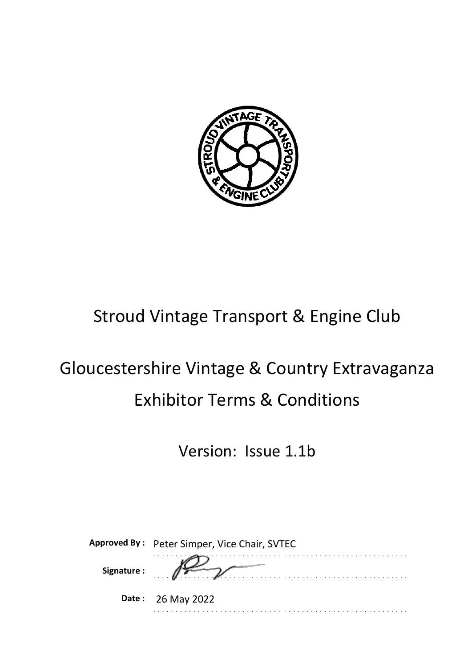

## Stroud Vintage Transport & Engine Club

# Gloucestershire Vintage & Country Extravaganza Exhibitor Terms & Conditions

Version: Issue 1.1b

|             | Approved By: Peter Simper, Vice Chair, SVTEC |
|-------------|----------------------------------------------|
| Signature : |                                              |
|             | Date: 26 May 2022                            |
|             |                                              |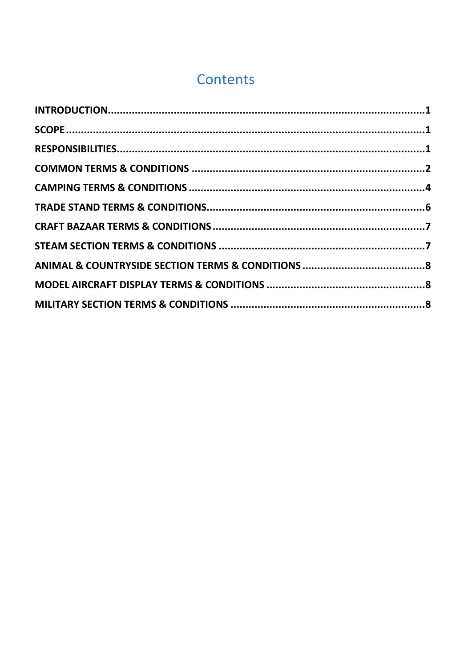## Contents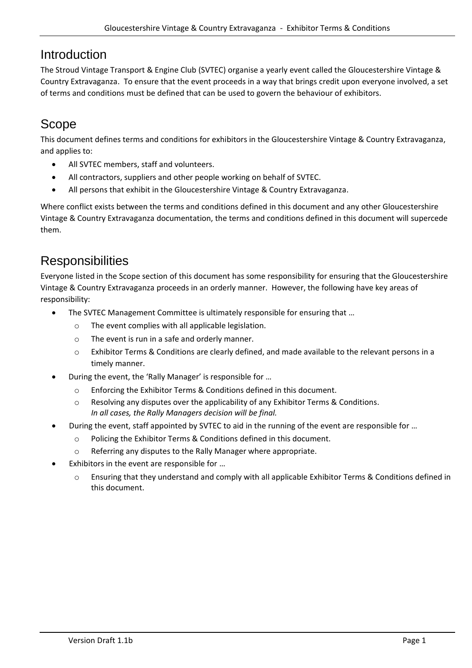#### <span id="page-2-0"></span>Introduction

The Stroud Vintage Transport & Engine Club (SVTEC) organise a yearly event called the Gloucestershire Vintage & Country Extravaganza. To ensure that the event proceeds in a way that brings credit upon everyone involved, a set of terms and conditions must be defined that can be used to govern the behaviour of exhibitors.

## <span id="page-2-1"></span>Scope

This document defines terms and conditions for exhibitors in the Gloucestershire Vintage & Country Extravaganza, and applies to:

- All SVTEC members, staff and volunteers.
- All contractors, suppliers and other people working on behalf of SVTEC.
- All persons that exhibit in the Gloucestershire Vintage & Country Extravaganza.

Where conflict exists between the terms and conditions defined in this document and any other Gloucestershire Vintage & Country Extravaganza documentation, the terms and conditions defined in this document will supercede them.

## <span id="page-2-2"></span>**Responsibilities**

Everyone listed in the Scope section of this document has some responsibility for ensuring that the Gloucestershire Vintage & Country Extravaganza proceeds in an orderly manner. However, the following have key areas of responsibility:

- The SVTEC Management Committee is ultimately responsible for ensuring that ...
	- o The event complies with all applicable legislation.
	- o The event is run in a safe and orderly manner.
	- o Exhibitor Terms & Conditions are clearly defined, and made available to the relevant persons in a timely manner.
- During the event, the 'Rally Manager' is responsible for …
	- o Enforcing the Exhibitor Terms & Conditions defined in this document.
	- o Resolving any disputes over the applicability of any Exhibitor Terms & Conditions. *In all cases, the Rally Managers decision will be final.*
- During the event, staff appointed by SVTEC to aid in the running of the event are responsible for …
	- o Policing the Exhibitor Terms & Conditions defined in this document.
	- o Referring any disputes to the Rally Manager where appropriate.
- Exhibitors in the event are responsible for ...
	- o Ensuring that they understand and comply with all applicable Exhibitor Terms & Conditions defined in this document.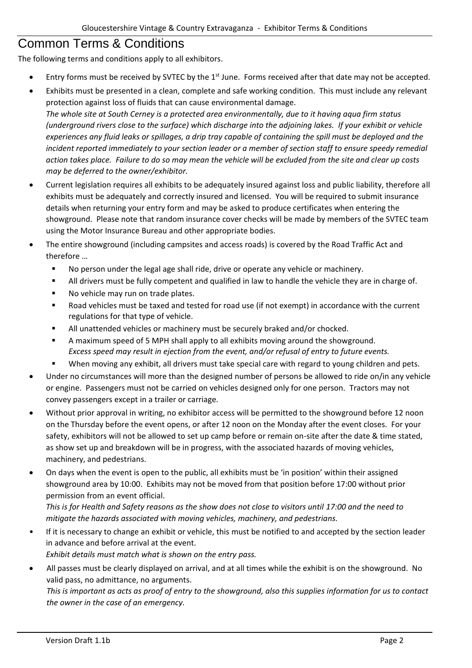#### <span id="page-3-0"></span>Common Terms & Conditions

The following terms and conditions apply to all exhibitors.

- Entry forms must be received by SVTEC by the 1<sup>st</sup> June. Forms received after that date may not be accepted.
- Exhibits must be presented in a clean, complete and safe working condition. This must include any relevant protection against loss of fluids that can cause environmental damage.

*The whole site at South Cerney is a protected area environmentally, due to it having aqua firm status (underground rivers close to the surface) which discharge into the adjoining lakes. If your exhibit or vehicle experiences any fluid leaks or spillages, a drip tray capable of containing the spill must be deployed and the incident reported immediately to your section leader or a member of section staff to ensure speedy remedial action takes place. Failure to do so may mean the vehicle will be excluded from the site and clear up costs may be deferred to the owner/exhibitor.*

- Current legislation requires all exhibits to be adequately insured against loss and public liability, therefore all exhibits must be adequately and correctly insured and licensed. You will be required to submit insurance details when returning your entry form and may be asked to produce certificates when entering the showground. Please note that random insurance cover checks will be made by members of the SVTEC team using the Motor Insurance Bureau and other appropriate bodies.
- The entire showground (including campsites and access roads) is covered by the Road Traffic Act and therefore …
	- No person under the legal age shall ride, drive or operate any vehicle or machinery.
	- All drivers must be fully competent and qualified in law to handle the vehicle they are in charge of.
	- No vehicle may run on trade plates.
	- Road vehicles must be taxed and tested for road use (if not exempt) in accordance with the current regulations for that type of vehicle.
	- All unattended vehicles or machinery must be securely braked and/or chocked.
	- A maximum speed of 5 MPH shall apply to all exhibits moving around the showground. *Excess speed may result in ejection from the event, and/or refusal of entry to future events.*
	- When moving any exhibit, all drivers must take special care with regard to young children and pets.
- Under no circumstances will more than the designed number of persons be allowed to ride on/in any vehicle or engine. Passengers must not be carried on vehicles designed only for one person. Tractors may not convey passengers except in a trailer or carriage.
- Without prior approval in writing, no exhibitor access will be permitted to the showground before 12 noon on the Thursday before the event opens, or after 12 noon on the Monday after the event closes. For your safety, exhibitors will not be allowed to set up camp before or remain on-site after the date & time stated, as show set up and breakdown will be in progress, with the associated hazards of moving vehicles, machinery, and pedestrians.
- On days when the event is open to the public, all exhibits must be 'in position' within their assigned showground area by 10:00. Exhibits may not be moved from that position before 17:00 without prior permission from an event official.

*This is for Health and Safety reasons as the show does not close to visitors until 17:00 and the need to mitigate the hazards associated with moving vehicles, machinery, and pedestrians.*

If it is necessary to change an exhibit or vehicle, this must be notified to and accepted by the section leader in advance and before arrival at the event.

*Exhibit details must match what is shown on the entry pass.*

• All passes must be clearly displayed on arrival, and at all times while the exhibit is on the showground. No valid pass, no admittance, no arguments.

*This is important as acts as proof of entry to the showground, also this supplies information for us to contact the owner in the case of an emergency.*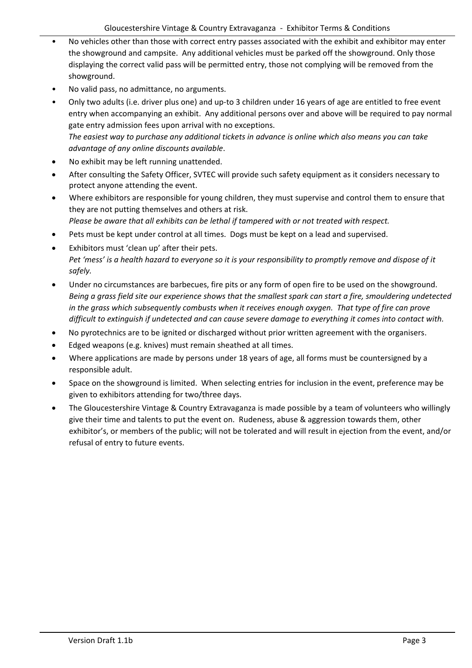- No vehicles other than those with correct entry passes associated with the exhibit and exhibitor may enter the showground and campsite. Any additional vehicles must be parked off the showground. Only those displaying the correct valid pass will be permitted entry, those not complying will be removed from the showground.
- No valid pass, no admittance, no arguments.
- Only two adults (i.e. driver plus one) and up-to 3 children under 16 years of age are entitled to free event entry when accompanying an exhibit. Any additional persons over and above will be required to pay normal gate entry admission fees upon arrival with no exceptions. *The easiest way to purchase any additional tickets in advance is online which also means you can take advantage of any online discounts available*.
- No exhibit may be left running unattended.
- After consulting the Safety Officer, SVTEC will provide such safety equipment as it considers necessary to protect anyone attending the event.
- Where exhibitors are responsible for young children, they must supervise and control them to ensure that they are not putting themselves and others at risk. *Please be aware that all exhibits can be lethal if tampered with or not treated with respect.*
- Pets must be kept under control at all times. Dogs must be kept on a lead and supervised.
- Exhibitors must 'clean up' after their pets. *Pet 'mess' is a health hazard to everyone so it is your responsibility to promptly remove and dispose of it safely.*
- Under no circumstances are barbecues, fire pits or any form of open fire to be used on the showground. *Being a grass field site our experience shows that the smallest spark can start a fire, smouldering undetected in the grass which subsequently combusts when it receives enough oxygen. That type of fire can prove difficult to extinguish if undetected and can cause severe damage to everything it comes into contact with.*
- No pyrotechnics are to be ignited or discharged without prior written agreement with the organisers.
- Edged weapons (e.g. knives) must remain sheathed at all times.
- Where applications are made by persons under 18 years of age, all forms must be countersigned by a responsible adult.
- Space on the showground is limited. When selecting entries for inclusion in the event, preference may be given to exhibitors attending for two/three days.
- The Gloucestershire Vintage & Country Extravaganza is made possible by a team of volunteers who willingly give their time and talents to put the event on. Rudeness, abuse & aggression towards them, other exhibitor's, or members of the public; will not be tolerated and will result in ejection from the event, and/or refusal of entry to future events.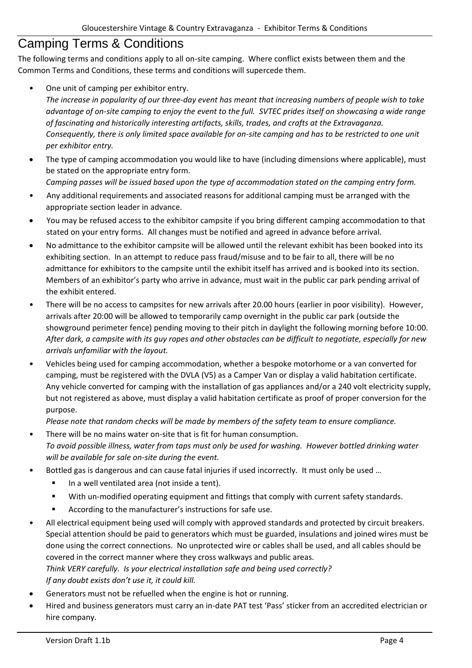#### <span id="page-5-0"></span>Camping Terms & Conditions

The following terms and conditions apply to all on-site camping. Where conflict exists between them and the Common Terms and Conditions, these terms and conditions will supercede them.

• One unit of camping per exhibitor entry.

*The increase in popularity of our three-day event has meant that increasing numbers of people wish to take advantage of on-site camping to enjoy the event to the full. SVTEC prides itself on showcasing a wide range of fascinating and historically interesting artifacts, skills, trades, and crafts at the Extravaganza. Consequently, there is only limited space available for on-site camping and has to be restricted to one unit per exhibitor entry.*

• The type of camping accommodation you would like to have (including dimensions where applicable), must be stated on the appropriate entry form.

*Camping passes will be issued based upon the type of accommodation stated on the camping entry form.*

- Any additional requirements and associated reasons for additional camping must be arranged with the appropriate section leader in advance.
- You may be refused access to the exhibitor campsite if you bring different camping accommodation to that stated on your entry forms. All changes must be notified and agreed in advance before arrival.
- No admittance to the exhibitor campsite will be allowed until the relevant exhibit has been booked into its exhibiting section. In an attempt to reduce pass fraud/misuse and to be fair to all, there will be no admittance for exhibitors to the campsite until the exhibit itself has arrived and is booked into its section. Members of an exhibitor's party who arrive in advance, must wait in the public car park pending arrival of the exhibit entered.
- There will be no access to campsites for new arrivals after 20.00 hours (earlier in poor visibility). However, arrivals after 20:00 will be allowed to temporarily camp overnight in the public car park (outside the showground perimeter fence) pending moving to their pitch in daylight the following morning before 10:00. *After dark, a campsite with its guy ropes and other obstacles can be difficult to negotiate, especially for new arrivals unfamiliar with the layout.*
- Vehicles being used for camping accommodation, whether a bespoke motorhome or a van converted for camping, must be registered with the DVLA (V5) as a Camper Van or display a valid habitation certificate. Any vehicle converted for camping with the installation of gas appliances and/or a 240 volt electricity supply, but not registered as above, must display a valid habitation certificate as proof of proper conversion for the purpose.

*Please note that random checks will be made by members of the safety team to ensure compliance.*

- There will be no mains water on-site that is fit for human consumption. *To avoid possible illness, water from taps must only be used for washing. However bottled drinking water will be available for sale on-site during the event.*
- Bottled gas is dangerous and can cause fatal injuries if used incorrectly. It must only be used ...
	- In a well ventilated area (not inside a tent).
	- With un-modified operating equipment and fittings that comply with current safety standards.
	- According to the manufacturer's instructions for safe use.
- All electrical equipment being used will comply with approved standards and protected by circuit breakers. Special attention should be paid to generators which must be guarded, insulations and joined wires must be done using the correct connections. No unprotected wire or cables shall be used, and all cables should be covered in the correct manner where they cross walkways and public areas.

*Think VERY carefully. Is your electrical installation safe and being used correctly? If any doubt exists don't use it, it could kill.*

- Generators must not be refuelled when the engine is hot or running.
- Hired and business generators must carry an in-date PAT test 'Pass' sticker from an accredited electrician or hire company.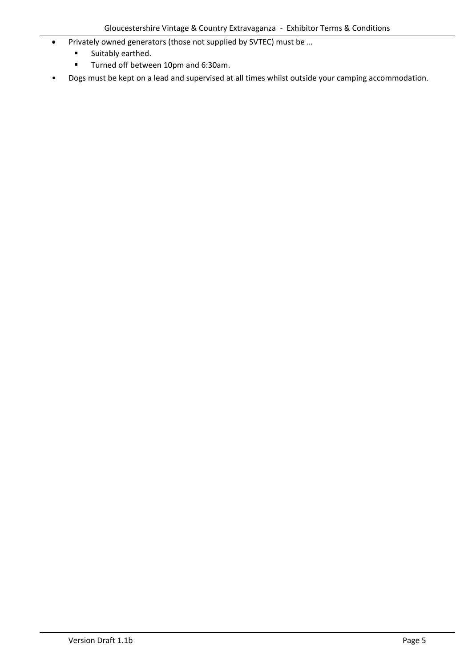- Privately owned generators (those not supplied by SVTEC) must be …
	- Suitably earthed.
	- Turned off between 10pm and 6:30am.
- Dogs must be kept on a lead and supervised at all times whilst outside your camping accommodation.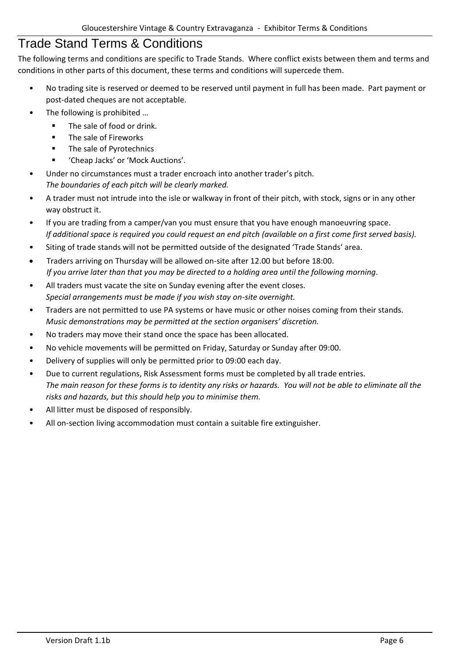#### <span id="page-7-0"></span>Trade Stand Terms & Conditions

The following terms and conditions are specific to Trade Stands. Where conflict exists between them and terms and conditions in other parts of this document, these terms and conditions will supercede them.

- No trading site is reserved or deemed to be reserved until payment in full has been made. Part payment or post-dated cheques are not acceptable.
- The following is prohibited ...
	- The sale of food or drink.
	- The sale of Fireworks
	- The sale of Pyrotechnics
	- 'Cheap Jacks' or 'Mock Auctions'.
- Under no circumstances must a trader encroach into another trader's pitch. *The boundaries of each pitch will be clearly marked.*
- A trader must not intrude into the isle or walkway in front of their pitch, with stock, signs or in any other way obstruct it.
- If you are trading from a camper/van you must ensure that you have enough manoeuvring space. *If additional space is required you could request an end pitch (available on a first come first served basis).*
- Siting of trade stands will not be permitted outside of the designated 'Trade Stands' area.
- Traders arriving on Thursday will be allowed on-site after 12.00 but before 18:00. *If you arrive later than that you may be directed to a holding area until the following morning.*
- All traders must vacate the site on Sunday evening after the event closes. *Special arrangements must be made if you wish stay on-site overnight.*
- Traders are not permitted to use PA systems or have music or other noises coming from their stands. *Music demonstrations may be permitted at the section organisers' discretion.*
- No traders may move their stand once the space has been allocated.
- No vehicle movements will be permitted on Friday, Saturday or Sunday after 09:00.
- Delivery of supplies will only be permitted prior to 09:00 each day.
- Due to current regulations, Risk Assessment forms must be completed by all trade entries. *The main reason for these forms is to identity any risks or hazards. You will not be able to eliminate all the risks and hazards, but this should help you to minimise them.*
- All litter must be disposed of responsibly.
- All on-section living accommodation must contain a suitable fire extinguisher.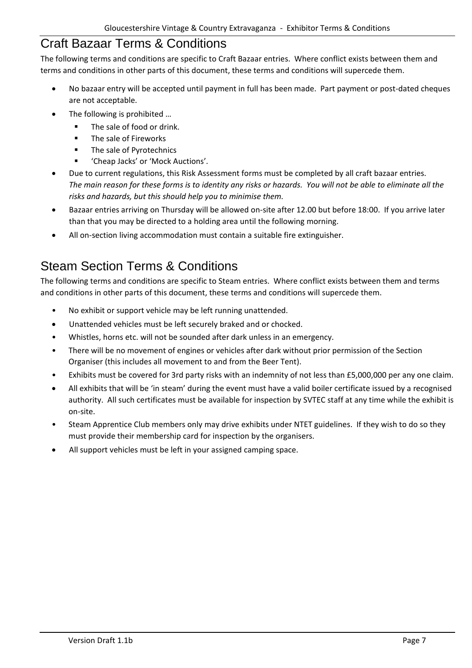#### <span id="page-8-0"></span>Craft Bazaar Terms & Conditions

The following terms and conditions are specific to Craft Bazaar entries. Where conflict exists between them and terms and conditions in other parts of this document, these terms and conditions will supercede them.

- No bazaar entry will be accepted until payment in full has been made. Part payment or post-dated cheques are not acceptable.
- The following is prohibited ...
	- The sale of food or drink.
	- The sale of Fireworks
	- The sale of Pyrotechnics
	- 'Cheap Jacks' or 'Mock Auctions'.
- Due to current regulations, this Risk Assessment forms must be completed by all craft bazaar entries. *The main reason for these forms is to identity any risks or hazards. You will not be able to eliminate all the risks and hazards, but this should help you to minimise them.*
- Bazaar entries arriving on Thursday will be allowed on-site after 12.00 but before 18:00. If you arrive later than that you may be directed to a holding area until the following morning.
- All on-section living accommodation must contain a suitable fire extinguisher.

## <span id="page-8-1"></span>Steam Section Terms & Conditions

The following terms and conditions are specific to Steam entries. Where conflict exists between them and terms and conditions in other parts of this document, these terms and conditions will supercede them.

- No exhibit or support vehicle may be left running unattended.
- Unattended vehicles must be left securely braked and or chocked.
- Whistles, horns etc. will not be sounded after dark unless in an emergency.
- There will be no movement of engines or vehicles after dark without prior permission of the Section Organiser (this includes all movement to and from the Beer Tent).
- Exhibits must be covered for 3rd party risks with an indemnity of not less than £5,000,000 per any one claim.
- All exhibits that will be 'in steam' during the event must have a valid boiler certificate issued by a recognised authority. All such certificates must be available for inspection by SVTEC staff at any time while the exhibit is on-site.
- Steam Apprentice Club members only may drive exhibits under NTET guidelines. If they wish to do so they must provide their membership card for inspection by the organisers.
- All support vehicles must be left in your assigned camping space.